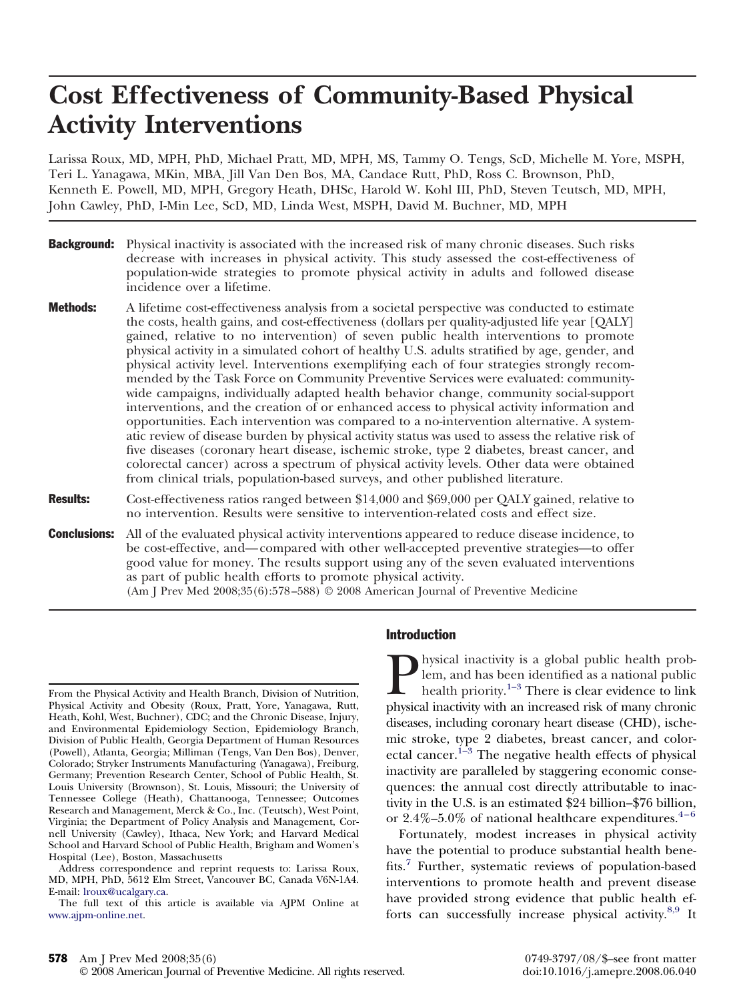# **Cost Effectiveness of Community-Based Physical Activity Interventions**

Larissa Roux, MD, MPH, PhD, Michael Pratt, MD, MPH, MS, Tammy O. Tengs, ScD, Michelle M. Yore, MSPH, Teri L. Yanagawa, MKin, MBA, Jill Van Den Bos, MA, Candace Rutt, PhD, Ross C. Brownson, PhD, Kenneth E. Powell, MD, MPH, Gregory Heath, DHSc, Harold W. Kohl III, PhD, Steven Teutsch, MD, MPH, John Cawley, PhD, I-Min Lee, ScD, MD, Linda West, MSPH, David M. Buchner, MD, MPH

- **Background:** Physical inactivity is associated with the increased risk of many chronic diseases. Such risks decrease with increases in physical activity. This study assessed the cost-effectiveness of population-wide strategies to promote physical activity in adults and followed disease incidence over a lifetime.
- **Methods:** A lifetime cost-effectiveness analysis from a societal perspective was conducted to estimate the costs, health gains, and cost-effectiveness (dollars per quality-adjusted life year [QALY] gained, relative to no intervention) of seven public health interventions to promote physical activity in a simulated cohort of healthy U.S. adults stratified by age, gender, and physical activity level. Interventions exemplifying each of four strategies strongly recommended by the Task Force on Community Preventive Services were evaluated: communitywide campaigns, individually adapted health behavior change, community social-support interventions, and the creation of or enhanced access to physical activity information and opportunities. Each intervention was compared to a no-intervention alternative. A systematic review of disease burden by physical activity status was used to assess the relative risk of five diseases (coronary heart disease, ischemic stroke, type 2 diabetes, breast cancer, and colorectal cancer) across a spectrum of physical activity levels. Other data were obtained from clinical trials, population-based surveys, and other published literature.
- **Results:** Cost-effectiveness ratios ranged between \$14,000 and \$69,000 per QALY gained, relative to no intervention. Results were sensitive to intervention-related costs and effect size.
- **Conclusions:** All of the evaluated physical activity interventions appeared to reduce disease incidence, to be cost-effective, and— compared with other well-accepted preventive strategies—to offer good value for money. The results support using any of the seven evaluated interventions as part of public health efforts to promote physical activity. (Am J Prev Med 2008;35(6):578 –588) © 2008 American Journal of Preventive Medicine

From the Physical Activity and Health Branch, Division of Nutrition, Physical Activity and Obesity (Roux, Pratt, Yore, Yanagawa, Rutt, Heath, Kohl, West, Buchner), CDC; and the Chronic Disease, Injury, and Environmental Epidemiology Section, Epidemiology Branch, Division of Public Health, Georgia Department of Human Resources (Powell), Atlanta, Georgia; Milliman (Tengs, Van Den Bos), Denver, Colorado; Stryker Instruments Manufacturing (Yanagawa), Freiburg, Germany; Prevention Research Center, School of Public Health, St. Louis University (Brownson), St. Louis, Missouri; the University of Tennessee College (Heath), Chattanooga, Tennessee; Outcomes Research and Management, Merck & Co., Inc. (Teutsch), West Point, Virginia; the Department of Policy Analysis and Management, Cornell University (Cawley), Ithaca, New York; and Harvard Medical School and Harvard School of Public Health, Brigham and Women's Hospital (Lee), Boston, Massachusetts

Address correspondence and reprint requests to: Larissa Roux, MD, MPH, PhD, 5612 Elm Street, Vancouver BC, Canada V6N-1A4. E-mail: [lroux@ucalgary.ca.](mailto:lroux@ucalgary.ca)

The full text of this article is available via AJPM Online at [www.ajpm-online.net.](http://www.ajpm-online.net)

# Introduction

Physical inactivity is a global public health problem, and has been identified as a national public health priority.<sup>1–3</sup> There is clear evidence to link physical inactivity with an increased risk of many chronic diseases, including coronary heart disease (CHD), ischemic stroke, type 2 diabetes, breast cancer, and color-ectal cancer.<sup>[1–3](#page-8-0)</sup> The negative health effects of physical inactivity are paralleled by staggering economic consequences: the annual cost directly attributable to inactivity in the U.S. is an estimated \$24 billion–\$76 billion, or 2.4%–5.0% of national healthcare expenditures. $4-6$ 

Fortunately, modest increases in physical activity have the potential to produce substantial health benefits[.7](#page-8-0) Further, systematic reviews of population-based interventions to promote health and prevent disease have provided strong evidence that public health ef-forts can successfully increase physical activity.<sup>[8,9](#page-8-0)</sup> It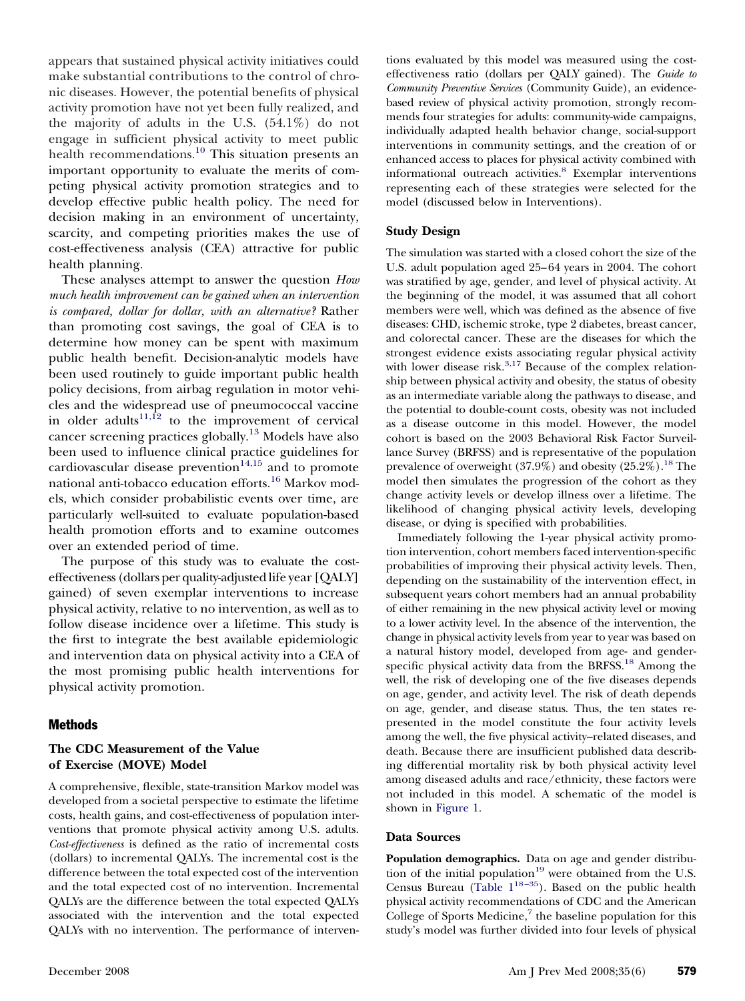appears that sustained physical activity initiatives could make substantial contributions to the control of chronic diseases. However, the potential benefits of physical activity promotion have not yet been fully realized, and the majority of adults in the U.S. (54.1%) do not engage in sufficient physical activity to meet public health recommendations.[10](#page-8-0) This situation presents an important opportunity to evaluate the merits of competing physical activity promotion strategies and to develop effective public health policy. The need for decision making in an environment of uncertainty, scarcity, and competing priorities makes the use of cost-effectiveness analysis (CEA) attractive for public health planning.

These analyses attempt to answer the question *How much health improvement can be gained when an intervention is compared, dollar for dollar, with an alternative?* Rather than promoting cost savings, the goal of CEA is to determine how money can be spent with maximum public health benefit. Decision-analytic models have been used routinely to guide important public health policy decisions, from airbag regulation in motor vehicles and the widespread use of pneumococcal vaccine in older adults $^{11,12}$  $^{11,12}$  $^{11,12}$  to the improvement of cervical cancer screening practices globally.[13](#page-8-0) Models have also been used to influence clinical practice guidelines for cardiovascular disease prevention<sup>[14,15](#page-8-0)</sup> and to promote national anti-tobacco education efforts.[16](#page-8-0) Markov models, which consider probabilistic events over time, are particularly well-suited to evaluate population-based health promotion efforts and to examine outcomes over an extended period of time.

The purpose of this study was to evaluate the costeffectiveness (dollars per quality-adjusted life year [QALY] gained) of seven exemplar interventions to increase physical activity, relative to no intervention, as well as to follow disease incidence over a lifetime. This study is the first to integrate the best available epidemiologic and intervention data on physical activity into a CEA of the most promising public health interventions for physical activity promotion.

## **Methods**

# **The CDC Measurement of the Value of Exercise (MOVE) Model**

A comprehensive, flexible, state-transition Markov model was developed from a societal perspective to estimate the lifetime costs, health gains, and cost-effectiveness of population interventions that promote physical activity among U.S. adults. *Cost-effectiveness* is defined as the ratio of incremental costs (dollars) to incremental QALYs. The incremental cost is the difference between the total expected cost of the intervention and the total expected cost of no intervention. Incremental QALYs are the difference between the total expected QALYs associated with the intervention and the total expected QALYs with no intervention. The performance of interven-

tions evaluated by this model was measured using the costeffectiveness ratio (dollars per QALY gained). The *Guide to Community Preventive Services* (Community Guide), an evidencebased review of physical activity promotion, strongly recommends four strategies for adults: community-wide campaigns, individually adapted health behavior change, social-support interventions in community settings, and the creation of or enhanced access to places for physical activity combined with informational outreach activities.<sup>8</sup> Exemplar interventions representing each of these strategies were selected for the model (discussed below in Interventions).

## **Study Design**

The simulation was started with a closed cohort the size of the U.S. adult population aged 25– 64 years in 2004. The cohort was stratified by age, gender, and level of physical activity. At the beginning of the model, it was assumed that all cohort members were well, which was defined as the absence of five diseases: CHD, ischemic stroke, type 2 diabetes, breast cancer, and colorectal cancer. These are the diseases for which the strongest evidence exists associating regular physical activity with lower disease risk.<sup>3,17</sup> Because of the complex relationship between physical activity and obesity, the status of obesity as an intermediate variable along the pathways to disease, and the potential to double-count costs, obesity was not included as a disease outcome in this model. However, the model cohort is based on the 2003 Behavioral Risk Factor Surveillance Survey (BRFSS) and is representative of the population prevalence of overweight  $(37.9\%)$  and obesity  $(25.2\%)$ .<sup>18</sup> The model then simulates the progression of the cohort as they change activity levels or develop illness over a lifetime. The likelihood of changing physical activity levels, developing disease, or dying is specified with probabilities.

Immediately following the 1-year physical activity promotion intervention, cohort members faced intervention-specific probabilities of improving their physical activity levels. Then, depending on the sustainability of the intervention effect, in subsequent years cohort members had an annual probability of either remaining in the new physical activity level or moving to a lower activity level. In the absence of the intervention, the change in physical activity levels from year to year was based on a natural history model, developed from age- and gender-specific physical activity data from the BRFSS.<sup>[18](#page-8-0)</sup> Among the well, the risk of developing one of the five diseases depends on age, gender, and activity level. The risk of death depends on age, gender, and disease status. Thus, the ten states represented in the model constitute the four activity levels among the well, the five physical activity–related diseases, and death. Because there are insufficient published data describing differential mortality risk by both physical activity level among diseased adults and race/ethnicity, these factors were not included in this model. A schematic of the model is shown in [Figure 1.](#page-2-0)

## **Data Sources**

**Population demographics.** Data on age and gender distribution of the initial population<sup>19</sup> were obtained from the U.S. Census Bureau (Table  $1^{18-35}$ ). Based on the public health physical activity recommendations of CDC and the American College of Sports Medicine, $^7$  the baseline population for this study's model was further divided into four levels of physical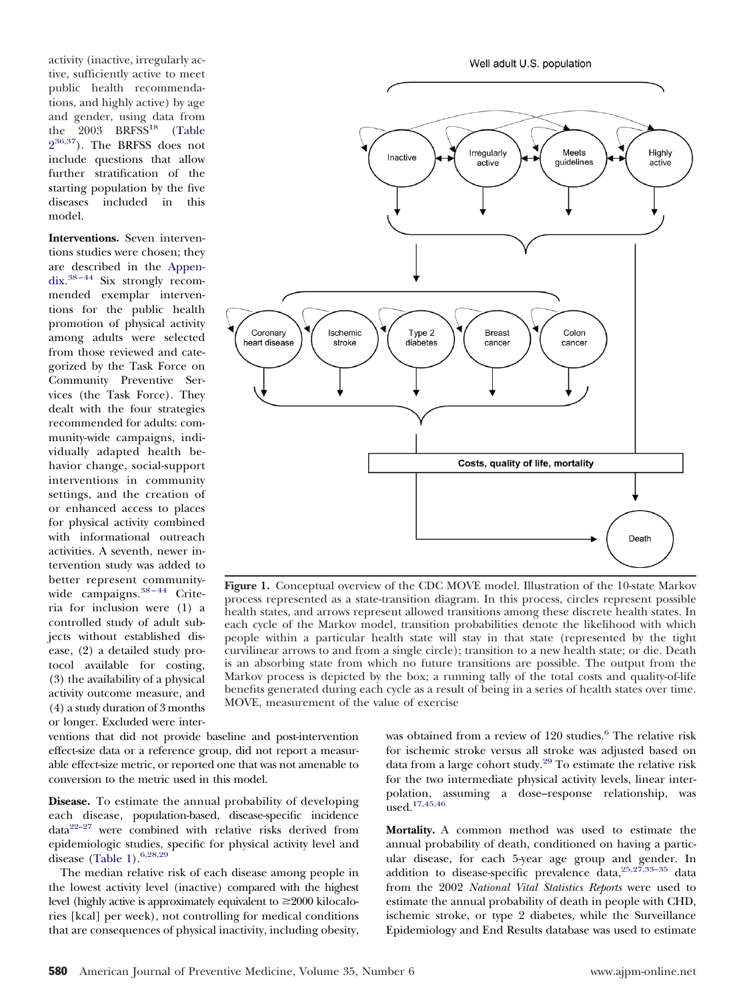<span id="page-2-0"></span>activity (inactive, irregularly active, sufficiently active to meet public health recommendations, and highly active) by age and gender, using data from the  $2003$  BRFSS<sup>18</sup> [\(Table](#page-3-0) [2](#page-3-0)[36,37\)](#page-9-0). The BRFSS does not include questions that allow further stratification of the starting population by the five diseases included in this model.

**Interventions.** Seven interventions studies were chosen; they are described in the [Appen](#page-10-0)[dix.](#page-10-0)<sup>38-44</sup> Six strongly recommended exemplar interventions for the public health promotion of physical activity among adults were selected from those reviewed and categorized by the Task Force on Community Preventive Services (the Task Force). They dealt with the four strategies recommended for adults: community-wide campaigns, individually adapted health behavior change, social-support interventions in community settings, and the creation of or enhanced access to places for physical activity combined with informational outreach activities. A seventh, newer intervention study was added to better represent communitywide campaigns. $38 - 44$  Criteria for inclusion were (1) a controlled study of adult subjects without established disease, (2) a detailed study protocol available for costing, (3) the availability of a physical activity outcome measure, and (4) a study duration of 3 months or longer. Excluded were inter-

Well adult U.S. population Irregularly **Meets** Highly Inactive quidelines active active Coronary Ischemic Type 2 **Breast** Colon heart disease stroke diabetes cancer cancer Costs, quality of life, mortality Death

**Figure 1.** Conceptual overview of the CDC MOVE model. Illustration of the 10-state Markov process represented as a state-transition diagram. In this process, circles represent possible health states, and arrows represent allowed transitions among these discrete health states. In each cycle of the Markov model, transition probabilities denote the likelihood with which people within a particular health state will stay in that state (represented by the tight curvilinear arrows to and from a single circle); transition to a new health state; or die. Death is an absorbing state from which no future transitions are possible. The output from the Markov process is depicted by the box; a running tally of the total costs and quality-of-life benefits generated during each cycle as a result of being in a series of health states over time. MOVE, measurement of the value of exercise

ventions that did not provide baseline and post-intervention effect-size data or a reference group, did not report a measurable effect-size metric, or reported one that was not amenable to conversion to the metric used in this model.

**Disease.** To estimate the annual probability of developing each disease, population-based, disease-specific incidence dat[a22–27](#page-8-0) were combined with relative risks derived from epidemiologic studies, specific for physical activity level and disease [\(Table 1\)](#page-3-0).  $6,28,29$ 

The median relative risk of each disease among people in the lowest activity level (inactive) compared with the highest level (highly active is approximately equivalent to  $\geq$ 2000 kilocalories [kcal] per week), not controlling for medical conditions that are consequences of physical inactivity, including obesity,

was obtained from a review of 120 studies. $^6$  The relative risk for ischemic stroke versus all stroke was adjusted based on data from a large cohort study. $29$  To estimate the relative risk for the two intermediate physical activity levels, linear interpolation, assuming a dose–response relationship, was used.[17,45,46](#page-8-0)

**Mortality.** A common method was used to estimate the annual probability of death, conditioned on having a particular disease, for each 5-year age group and gender. In addition to disease-specific prevalence data,<sup>25,27,33-35</sup> data from the 2002 *National Vital Statistics Reports* were used to estimate the annual probability of death in people with CHD, ischemic stroke, or type 2 diabetes, while the Surveillance Epidemiology and End Results database was used to estimate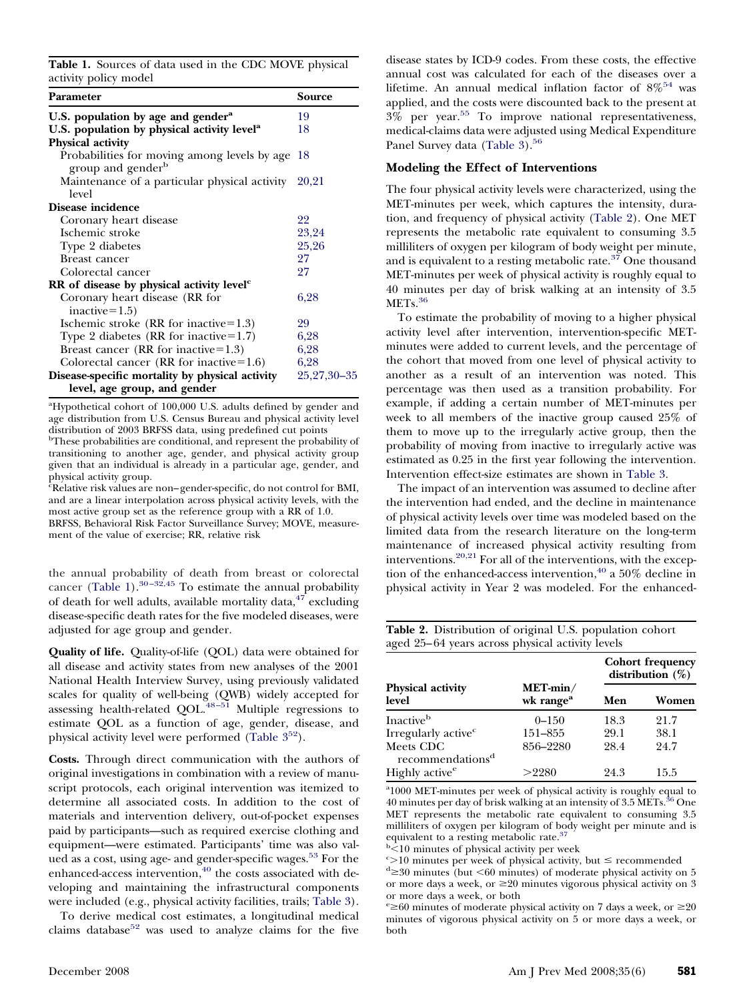<span id="page-3-0"></span>**Table 1.** Sources of data used in the CDC MOVE physical activity policy model

| Parameter                                                                     | <b>Source</b> |
|-------------------------------------------------------------------------------|---------------|
| U.S. population by age and gender <sup>a</sup>                                | 19            |
| U.S. population by physical activity level <sup>a</sup>                       | 18            |
| Physical activity                                                             |               |
| Probabilities for moving among levels by age<br>group and gender <sup>b</sup> | 18            |
| Maintenance of a particular physical activity<br>level                        | 20,21         |
| Disease incidence                                                             |               |
| Coronary heart disease                                                        | 22            |
| Ischemic stroke                                                               | 23,24         |
| Type 2 diabetes                                                               | 25,26         |
| Breast cancer                                                                 | 27            |
| Colorectal cancer                                                             | 27            |
| RR of disease by physical activity level <sup>c</sup>                         |               |
| Coronary heart disease (RR for<br>$inactive=1.5$                              | 6,28          |
| Ischemic stroke (RR for inactive= $1.3$ )                                     | 29            |
| Type 2 diabetes (RR for inactive= $1.7$ )                                     | 6,28          |
| Breast cancer (RR for inactive= $1.3$ )                                       | 6,28          |
| Colorectal cancer (RR for inactive= $1.6$ )                                   | 6,28          |
| Disease-specific mortality by physical activity                               | 25,27,30-35   |
| level, age group, and gender                                                  |               |

<sup>a</sup>Hypothetical cohort of 100,000 U.S. adults defined by gender and age distribution from U.S. Census Bureau and physical activity level distribution of 2003 BRFSS data, using predefined cut points <sup>b</sup>These probabilities are conditional, and represent the probability of transitioning to another age, gender, and physical activity group given that an individual is already in a particular age, gender, and physical activity group.

<sup>c</sup>Relative risk values are non–gender-specific, do not control for BMI, and are a linear interpolation across physical activity levels, with the most active group set as the reference group with a RR of 1.0. BRFSS, Behavioral Risk Factor Surveillance Survey; MOVE, measurement of the value of exercise; RR, relative risk

the annual probability of death from breast or colorectal cancer (Table 1). $30-32,45$  To estimate the annual probability of death for well adults, available mortality data, $47$  excluding disease-specific death rates for the five modeled diseases, were adjusted for age group and gender.

**Quality of life.** Quality-of-life (QOL) data were obtained for all disease and activity states from new analyses of the 2001 National Health Interview Survey, using previously validated scales for quality of well-being (QWB) widely accepted for assessing health-related QOL. $48-51$  Multiple regressions to estimate QOL as a function of age, gender, disease, and physical activity level were performed (Table  $3^{52}$ ).

**Costs.** Through direct communication with the authors of original investigations in combination with a review of manuscript protocols, each original intervention was itemized to determine all associated costs. In addition to the cost of materials and intervention delivery, out-of-pocket expenses paid by participants—such as required exercise clothing and equipment—were estimated. Participants' time was also valued as a cost, using age- and gender-specific wages.<sup>53</sup> For the enhanced-access intervention,<sup>40</sup> the costs associated with developing and maintaining the infrastructural components were included (e.g., physical activity facilities, trails; [Table 3\)](#page-4-0).

To derive medical cost estimates, a longitudinal medical claims database<sup>52</sup> was used to analyze claims for the five disease states by ICD-9 codes. From these costs, the effective annual cost was calculated for each of the diseases over a lifetime. An annual medical inflation factor of  $8\%^{54}$  was applied, and the costs were discounted back to the present at 3% per year[.55](#page-9-0) To improve national representativeness, medical-claims data were adjusted using Medical Expenditure Panel Survey data [\(Table 3\)](#page-4-0).<sup>56</sup>

#### **Modeling the Effect of Interventions**

The four physical activity levels were characterized, using the MET-minutes per week, which captures the intensity, duration, and frequency of physical activity (Table 2). One MET represents the metabolic rate equivalent to consuming 3.5 milliliters of oxygen per kilogram of body weight per minute, and is equivalent to a resting metabolic rate.<sup>37</sup> One thousand MET-minutes per week of physical activity is roughly equal to 40 minutes per day of brisk walking at an intensity of 3.5 MET<sub>s.</sub><sup>36</sup>

To estimate the probability of moving to a higher physical activity level after intervention, intervention-specific METminutes were added to current levels, and the percentage of the cohort that moved from one level of physical activity to another as a result of an intervention was noted. This percentage was then used as a transition probability. For example, if adding a certain number of MET-minutes per week to all members of the inactive group caused 25% of them to move up to the irregularly active group, then the probability of moving from inactive to irregularly active was estimated as 0.25 in the first year following the intervention. Intervention effect-size estimates are shown in [Table 3.](#page-4-0)

The impact of an intervention was assumed to decline after the intervention had ended, and the decline in maintenance of physical activity levels over time was modeled based on the limited data from the research literature on the long-term maintenance of increased physical activity resulting from interventions[.20,21](#page-8-0) For all of the interventions, with the exception of the enhanced-access intervention,<sup>40</sup> a 50% decline in physical activity in Year 2 was modeled. For the enhanced-

**Table 2.** Distribution of original U.S. population cohort aged 25– 64 years across physical activity levels

|                                           |                                     | <b>Cohort frequency</b><br>distribution $(\%)$ |       |  |  |
|-------------------------------------------|-------------------------------------|------------------------------------------------|-------|--|--|
| Physical activity<br>level                | $MET-min/$<br>wk range <sup>a</sup> | Men                                            | Women |  |  |
| Inactive <sup>b</sup>                     | $0 - 150$                           | 18.3                                           | 21.7  |  |  |
| Irregularly active <sup>c</sup>           | 151-855                             | 29.1                                           | 38.1  |  |  |
| Meets CDC<br>recommendations <sup>d</sup> | 856-2280                            | 28.4                                           | 24.7  |  |  |
| Highly active <sup>e</sup>                | >2280                               | 24.3                                           | 15.5  |  |  |

<sup>a</sup>1000 MET-minutes per week of physical activity is roughly equal to 40 minutes per day of brisk walking at an intensity of 3.5 METs.<sup>36</sup> One MET represents the metabolic rate equivalent to consuming 3.5 milliliters of oxygen per kilogram of body weight per minute and is equivalent to a resting metabolic rate.<sup>37</sup>

 $\frac{b}{2}$  =10 minutes of physical activity per week<br> $\frac{c}{2}$  =10 minutes per week of physical activity

<sup>c</sup>>10 minutes per week of physical activity, but  $\leq$  recommended  $\frac{d}{d}$ >30 minutes (but  $\leq$ 60 minutes) of moderate physical activity of

 $\geq$  30 minutes (but  $\leq$  60 minutes) of moderate physical activity on 5 or more days a week, or  $\geq 20$  minutes vigorous physical activity on 3 or more days a week, or both

<sup>e</sup>≥60 minutes of moderate physical activity on 7 days a week, or ≥20 minutes of vigorous physical activity on 5 or more days a week, or both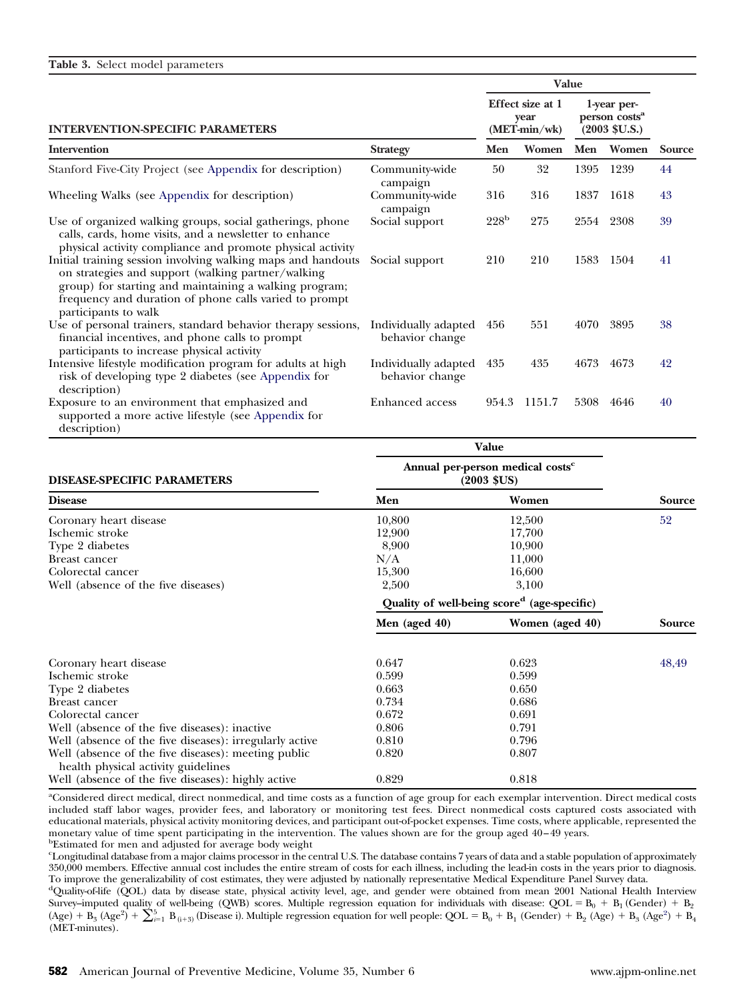## <span id="page-4-0"></span>**Table 3.** Select model parameters

|                                                                                                                                                                                                                                                                |                                         |                                            |        | Value                                                       |       |               |
|----------------------------------------------------------------------------------------------------------------------------------------------------------------------------------------------------------------------------------------------------------------|-----------------------------------------|--------------------------------------------|--------|-------------------------------------------------------------|-------|---------------|
| <b>INTERVENTION-SPECIFIC PARAMETERS</b>                                                                                                                                                                                                                        |                                         | Effect size at 1<br>year<br>$(MET-min/wk)$ |        | 1-year per-<br>person costs <sup>a</sup><br>$(2003$ \$U.S.) |       |               |
| <b>Intervention</b>                                                                                                                                                                                                                                            | <b>Strategy</b>                         | Men                                        | Women  | Men                                                         | Women | <b>Source</b> |
| Stanford Five-City Project (see Appendix for description)                                                                                                                                                                                                      | Community-wide<br>campaign              | 50                                         | 32     | 1395                                                        | 1239  | 44            |
| Wheeling Walks (see Appendix for description)                                                                                                                                                                                                                  | Community-wide<br>campaign              | 316                                        | 316    | 1837                                                        | 1618  | 43            |
| Use of organized walking groups, social gatherings, phone<br>calls, cards, home visits, and a newsletter to enhance<br>physical activity compliance and promote physical activity                                                                              | Social support                          | 228 <sup>b</sup>                           | 275    | 2554                                                        | 2308  | 39            |
| Initial training session involving walking maps and handouts<br>on strategies and support (walking partner/walking<br>group) for starting and maintaining a walking program;<br>frequency and duration of phone calls varied to prompt<br>participants to walk | Social support                          | 210                                        | 210    | 1583                                                        | 1504  | 41            |
| Use of personal trainers, standard behavior therapy sessions,<br>financial incentives, and phone calls to prompt<br>participants to increase physical activity                                                                                                 | Individually adapted<br>behavior change | 456                                        | 551    | 4070                                                        | 3895  | 38            |
| Intensive lifestyle modification program for adults at high<br>risk of developing type 2 diabetes (see Appendix for<br>description)                                                                                                                            | Individually adapted<br>behavior change | 435                                        | 435    | 4673                                                        | 4673  | 42            |
| Exposure to an environment that emphasized and<br>supported a more active lifestyle (see Appendix for<br>description)                                                                                                                                          | <b>Enhanced</b> access                  | 954.3                                      | 1151.7 | 5308                                                        | 4646  | 40            |

|                                                                                            | Value                                                         |                 |               |  |
|--------------------------------------------------------------------------------------------|---------------------------------------------------------------|-----------------|---------------|--|
| <b>DISEASE-SPECIFIC PARAMETERS</b>                                                         | Annual per-person medical costs <sup>c</sup><br>$(2003$ \$US) |                 |               |  |
| <b>Disease</b>                                                                             | Men                                                           | Women           | <b>Source</b> |  |
| Coronary heart disease                                                                     | 10,800                                                        | 12,500          | 52            |  |
| Ischemic stroke                                                                            | 12,900                                                        | 17,700          |               |  |
| Type 2 diabetes                                                                            | 8,900                                                         | 10,900          |               |  |
| Breast cancer                                                                              | N/A                                                           | 11,000          |               |  |
| Colorectal cancer                                                                          | 15,300                                                        | 16,600          |               |  |
| Well (absence of the five diseases)                                                        | 2,500                                                         | 3,100           |               |  |
|                                                                                            | Quality of well-being score <sup>d</sup> (age-specific)       |                 |               |  |
|                                                                                            | Men (aged 40)                                                 | Women (aged 40) | <b>Source</b> |  |
| Coronary heart disease                                                                     | 0.647                                                         | 0.623           | 48,49         |  |
| Ischemic stroke                                                                            | 0.599                                                         | 0.599           |               |  |
| Type 2 diabetes                                                                            | 0.663                                                         | 0.650           |               |  |
| Breast cancer                                                                              | 0.734                                                         | 0.686           |               |  |
| Colorectal cancer                                                                          | 0.672                                                         | 0.691           |               |  |
| Well (absence of the five diseases): inactive                                              | 0.806                                                         | 0.791           |               |  |
| Well (absence of the five diseases): irregularly active                                    | 0.810                                                         | 0.796           |               |  |
| Well (absence of the five diseases): meeting public<br>health physical activity guidelines | 0.820                                                         | 0.807           |               |  |
| Well (absence of the five diseases): highly active                                         | 0.829                                                         | 0.818           |               |  |

a Considered direct medical, direct nonmedical, and time costs as a function of age group for each exemplar intervention. Direct medical costs included staff labor wages, provider fees, and laboratory or monitoring test fees. Direct nonmedical costs captured costs associated with educational materials, physical activity monitoring devices, and participant out-of-pocket expenses. Time costs, where applicable, represented the monetary value of time spent participating in the intervention. The values shown are for the group aged 40-49 years. b Estimated for men and adjusted for average body weight

c Longitudinal database from a major claims processor in the central U.S. The database contains 7 years of data and a stable population of approximately 350,000 members. Effective annual cost includes the entire stream of costs for each illness, including the lead-in costs in the years prior to diagnosis. To improve the generalizability of cost estimates, they were adjusted by nationally representative Medical Expenditure Panel Survey data.

d Quality-of-life (QOL) data by disease state, physical activity level, age, and gender were obtained from mean 2001 National Health Interview Survey–imputed quality of well-being (QWB) scores. Multiple regression equation for individuals with disease:  $\text{QOL} = \text{B}_0 + \text{B}_1(\text{Gender}) + \text{B}_2$  $(\text{Age}) + \text{B}_3 (\text{Age}^2) + \sum_{i=1}^5 \text{B}_{(i+3)}$  (Disease i). Multiple regression equation for well people: QOL = B<sub>0</sub> + B<sub>1</sub> (Gender) + B<sub>2</sub> (Age) + B<sub>3</sub> (Age<sup>2</sup>) + B<sub>4</sub> (MET-minutes).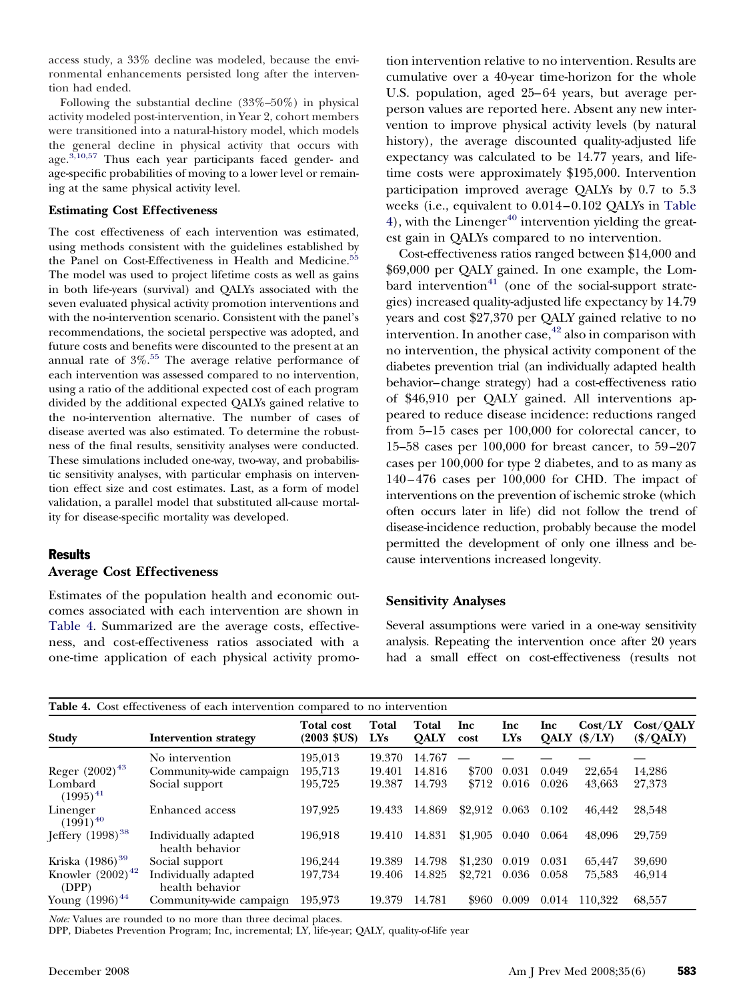access study, a 33% decline was modeled, because the environmental enhancements persisted long after the intervention had ended.

Following the substantial decline (33%–50%) in physical activity modeled post-intervention, in Year 2, cohort members were transitioned into a natural-history model, which models the general decline in physical activity that occurs with age.[3,10,57](#page-8-0) Thus each year participants faced gender- and age-specific probabilities of moving to a lower level or remaining at the same physical activity level.

#### **Estimating Cost Effectiveness**

The cost effectiveness of each intervention was estimated, using methods consistent with the guidelines established by the Panel on Cost-Effectiveness in Health and Medicine.<sup>55</sup> The model was used to project lifetime costs as well as gains in both life-years (survival) and QALYs associated with the seven evaluated physical activity promotion interventions and with the no-intervention scenario. Consistent with the panel's recommendations, the societal perspective was adopted, and future costs and benefits were discounted to the present at an annual rate of 3%.<sup>55</sup> The average relative performance of each intervention was assessed compared to no intervention, using a ratio of the additional expected cost of each program divided by the additional expected QALYs gained relative to the no-intervention alternative. The number of cases of disease averted was also estimated. To determine the robustness of the final results, sensitivity analyses were conducted. These simulations included one-way, two-way, and probabilistic sensitivity analyses, with particular emphasis on intervention effect size and cost estimates. Last, as a form of model validation, a parallel model that substituted all-cause mortality for disease-specific mortality was developed.

## **Results**

## **Average Cost Effectiveness**

Estimates of the population health and economic outcomes associated with each intervention are shown in Table 4. Summarized are the average costs, effectiveness, and cost-effectiveness ratios associated with a one-time application of each physical activity promo-

tion intervention relative to no intervention. Results are cumulative over a 40-year time-horizon for the whole U.S. population, aged 25– 64 years, but average perperson values are reported here. Absent any new intervention to improve physical activity levels (by natural history), the average discounted quality-adjusted life expectancy was calculated to be 14.77 years, and lifetime costs were approximately \$195,000. Intervention participation improved average QALYs by 0.7 to 5.3 weeks (i.e., equivalent to  $0.014 - 0.102$  QALYs in Table 4), with the Linenger<sup> $40$ </sup> intervention yielding the greatest gain in QALYs compared to no intervention.

Cost-effectiveness ratios ranged between \$14,000 and \$69,000 per QALY gained. In one example, the Lombard intervention $41$  (one of the social-support strategies) increased quality-adjusted life expectancy by 14.79 years and cost \$27,370 per QALY gained relative to no intervention. In another case,  $42$  also in comparison with no intervention, the physical activity component of the diabetes prevention trial (an individually adapted health behavior–change strategy) had a cost-effectiveness ratio of \$46,910 per QALY gained. All interventions appeared to reduce disease incidence: reductions ranged from 5–15 cases per 100,000 for colorectal cancer, to 15–58 cases per 100,000 for breast cancer, to 59 –207 cases per 100,000 for type 2 diabetes, and to as many as 140 – 476 cases per 100,000 for CHD. The impact of interventions on the prevention of ischemic stroke (which often occurs later in life) did not follow the trend of disease-incidence reduction, probably because the model permitted the development of only one illness and because interventions increased longevity.

## **Sensitivity Analyses**

Several assumptions were varied in a one-way sensitivity analysis. Repeating the intervention once after 20 years had a small effect on cost-effectiveness (results not

| <b>Table 4.</b> Cost effectiveness of each intervention compared to no intervention |                                                              |                                    |                            |                            |                |                   |                    |                   |                                           |
|-------------------------------------------------------------------------------------|--------------------------------------------------------------|------------------------------------|----------------------------|----------------------------|----------------|-------------------|--------------------|-------------------|-------------------------------------------|
| <b>Study</b>                                                                        | <b>Intervention strategy</b>                                 | <b>Total cost</b><br>$(2003$ \$US) | Total<br><b>LYs</b>        | Total<br><b>OALY</b>       | Inc<br>cost    | Inc<br><b>LYs</b> | Inc<br><b>OALY</b> | Cost/LY<br>(S/LY) | Cost/OALY<br>$(\frac{6}{2}$ <b>QALY</b> ) |
| Reger $(2002)^{43}$<br>Lombard                                                      | No intervention<br>Community-wide campaign<br>Social support | 195,013<br>195,713<br>195,725      | 19.370<br>19.401<br>19.387 | 14.767<br>14.816<br>14.793 | \$700<br>\$712 | 0.031<br>0.016    | 0.049<br>0.026     | 22,654<br>43,663  | 14,286<br>27,373                          |
| $(1995)^{41}$<br>Linenger<br>$(1991)^{40}$                                          | Enhanced access                                              | 197,925                            | 19.433                     | 14.869                     | \$2,912        | 0.063             | 0.102              | 46.442            | 28,548                                    |
| Jeffery $(1998)^{38}$                                                               | Individually adapted<br>health behavior                      | 196,918                            | 19.410                     | 14.831                     | \$1.905        | 0.040             | 0.064              | 48.096            | 29,759                                    |
| Kriska (1986) <sup>39</sup>                                                         | Social support                                               | 196,244                            | 19.389                     | 14.798                     | \$1.230        | 0.019             | 0.031              | 65.447            | 39,690                                    |
| Knowler $(2002)^{42}$<br>(DPP)                                                      | Individually adapted<br>health behavior                      | 197,734                            | 19.406                     | 14.825                     | \$2,721        | 0.036             | 0.058              | 75,583            | 46,914                                    |
| Young $(1996)^{44}$                                                                 | Community-wide campaign                                      | 195,973                            | 19.379                     | 14.781                     | \$960          | 0.009             | 0.014              | 110,322           | 68,557                                    |

*Note:* Values are rounded to no more than three decimal places.

DPP, Diabetes Prevention Program; Inc, incremental; LY, life-year; QALY, quality-of-life year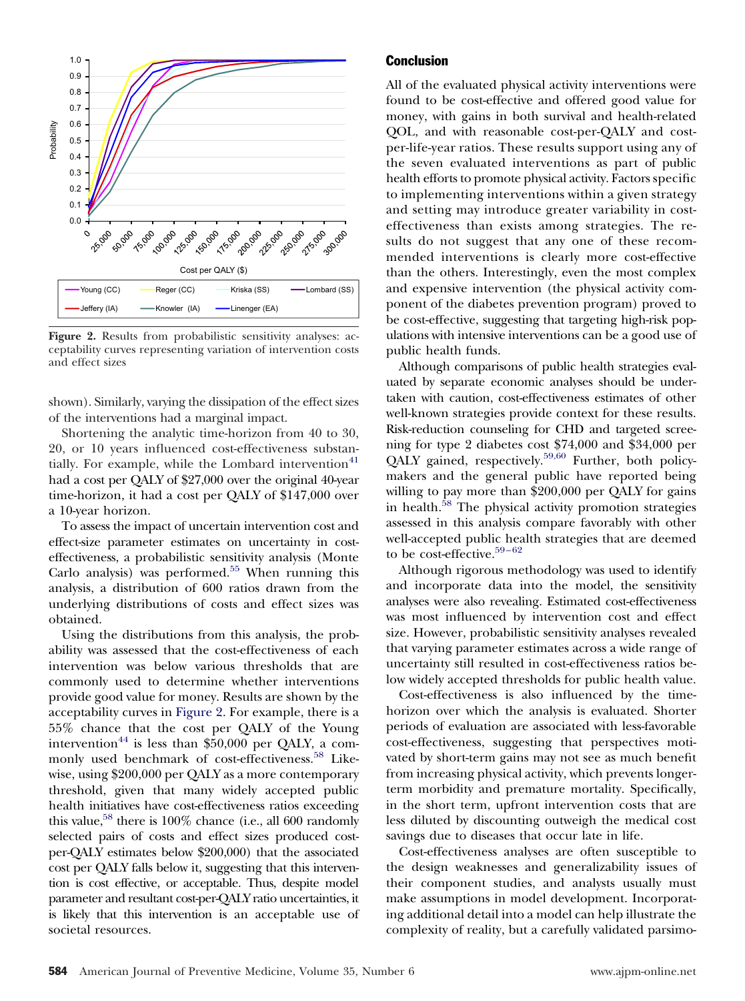

**Figure 2.** Results from probabilistic sensitivity analyses: acceptability curves representing variation of intervention costs and effect sizes

shown). Similarly, varying the dissipation of the effect sizes of the interventions had a marginal impact.

Shortening the analytic time-horizon from 40 to 30, 20, or 10 years influenced cost-effectiveness substantially. For example, while the Lombard intervention $41$ had a cost per QALY of \$27,000 over the original 40-year time-horizon, it had a cost per QALY of \$147,000 over a 10-year horizon.

To assess the impact of uncertain intervention cost and effect-size parameter estimates on uncertainty in costeffectiveness, a probabilistic sensitivity analysis (Monte Carlo analysis) was performed.<sup>[55](#page-9-0)</sup> When running this analysis, a distribution of 600 ratios drawn from the underlying distributions of costs and effect sizes was obtained.

Using the distributions from this analysis, the probability was assessed that the cost-effectiveness of each intervention was below various thresholds that are commonly used to determine whether interventions provide good value for money. Results are shown by the acceptability curves in Figure 2. For example, there is a 55% chance that the cost per QALY of the Young intervention<sup>[44](#page-9-0)</sup> is less than \$50,000 per QALY, a com-monly used benchmark of cost-effectiveness.<sup>[58](#page-9-0)</sup> Likewise, using \$200,000 per QALY as a more contemporary threshold, given that many widely accepted public health initiatives have cost-effectiveness ratios exceeding this value,<sup>58</sup> there is  $100\%$  chance (i.e., all 600 randomly selected pairs of costs and effect sizes produced costper-QALY estimates below \$200,000) that the associated cost per QALY falls below it, suggesting that this intervention is cost effective, or acceptable. Thus, despite model parameter and resultant cost-per-QALY ratio uncertainties, it is likely that this intervention is an acceptable use of societal resources.

#### Conclusion

All of the evaluated physical activity interventions were found to be cost-effective and offered good value for money, with gains in both survival and health-related QOL, and with reasonable cost-per-QALY and costper-life-year ratios. These results support using any of the seven evaluated interventions as part of public health efforts to promote physical activity. Factors specific to implementing interventions within a given strategy and setting may introduce greater variability in costeffectiveness than exists among strategies. The results do not suggest that any one of these recommended interventions is clearly more cost-effective than the others. Interestingly, even the most complex and expensive intervention (the physical activity component of the diabetes prevention program) proved to be cost-effective, suggesting that targeting high-risk populations with intensive interventions can be a good use of public health funds.

Although comparisons of public health strategies evaluated by separate economic analyses should be undertaken with caution, cost-effectiveness estimates of other well-known strategies provide context for these results. Risk-reduction counseling for CHD and targeted screening for type 2 diabetes cost \$74,000 and \$34,000 per QALY gained, respectively.[59,60](#page-9-0) Further, both policymakers and the general public have reported being willing to pay more than \$200,000 per QALY for gains in health.[58](#page-9-0) The physical activity promotion strategies assessed in this analysis compare favorably with other well-accepted public health strategies that are deemed to be cost-effective.<sup>59-62</sup>

Although rigorous methodology was used to identify and incorporate data into the model, the sensitivity analyses were also revealing. Estimated cost-effectiveness was most influenced by intervention cost and effect size. However, probabilistic sensitivity analyses revealed that varying parameter estimates across a wide range of uncertainty still resulted in cost-effectiveness ratios below widely accepted thresholds for public health value.

Cost-effectiveness is also influenced by the timehorizon over which the analysis is evaluated. Shorter periods of evaluation are associated with less-favorable cost-effectiveness, suggesting that perspectives motivated by short-term gains may not see as much benefit from increasing physical activity, which prevents longerterm morbidity and premature mortality. Specifically, in the short term, upfront intervention costs that are less diluted by discounting outweigh the medical cost savings due to diseases that occur late in life.

Cost-effectiveness analyses are often susceptible to the design weaknesses and generalizability issues of their component studies, and analysts usually must make assumptions in model development. Incorporating additional detail into a model can help illustrate the complexity of reality, but a carefully validated parsimo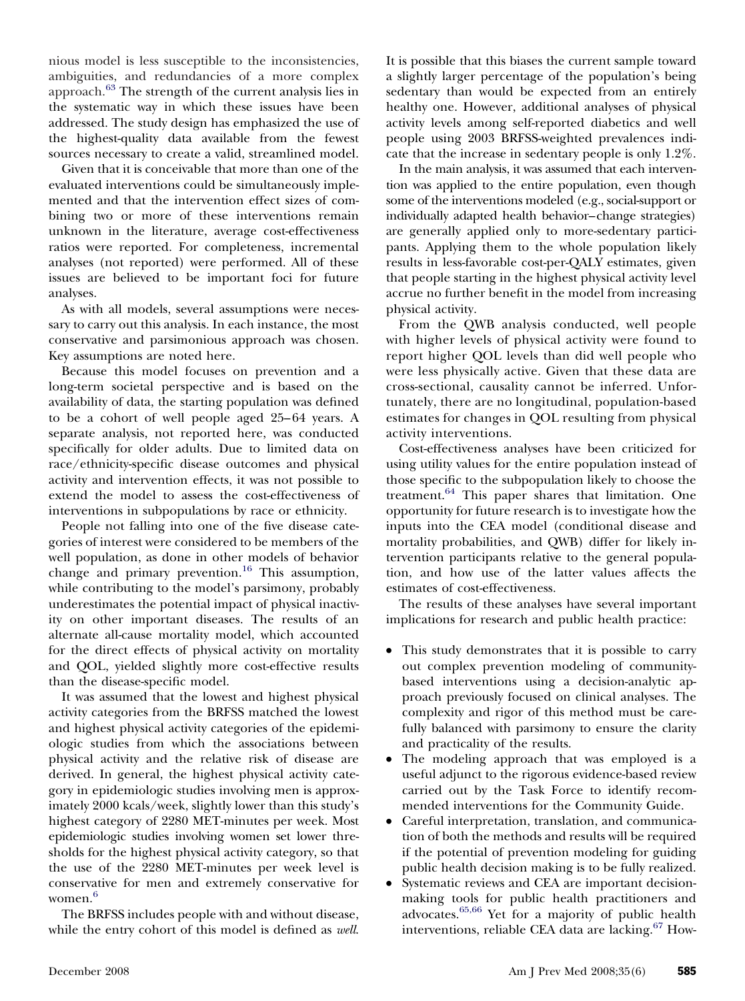nious model is less susceptible to the inconsistencies, ambiguities, and redundancies of a more complex approach.[63](#page-9-0) The strength of the current analysis lies in the systematic way in which these issues have been addressed. The study design has emphasized the use of the highest-quality data available from the fewest sources necessary to create a valid, streamlined model.

Given that it is conceivable that more than one of the evaluated interventions could be simultaneously implemented and that the intervention effect sizes of combining two or more of these interventions remain unknown in the literature, average cost-effectiveness ratios were reported. For completeness, incremental analyses (not reported) were performed. All of these issues are believed to be important foci for future analyses.

As with all models, several assumptions were necessary to carry out this analysis. In each instance, the most conservative and parsimonious approach was chosen. Key assumptions are noted here.

Because this model focuses on prevention and a long-term societal perspective and is based on the availability of data, the starting population was defined to be a cohort of well people aged 25– 64 years. A separate analysis, not reported here, was conducted specifically for older adults. Due to limited data on race/ethnicity-specific disease outcomes and physical activity and intervention effects, it was not possible to extend the model to assess the cost-effectiveness of interventions in subpopulations by race or ethnicity.

People not falling into one of the five disease categories of interest were considered to be members of the well population, as done in other models of behavior change and primary prevention.[16](#page-8-0) This assumption, while contributing to the model's parsimony, probably underestimates the potential impact of physical inactivity on other important diseases. The results of an alternate all-cause mortality model, which accounted for the direct effects of physical activity on mortality and QOL, yielded slightly more cost-effective results than the disease-specific model.

It was assumed that the lowest and highest physical activity categories from the BRFSS matched the lowest and highest physical activity categories of the epidemiologic studies from which the associations between physical activity and the relative risk of disease are derived. In general, the highest physical activity category in epidemiologic studies involving men is approximately 2000 kcals/week, slightly lower than this study's highest category of 2280 MET-minutes per week. Most epidemiologic studies involving women set lower thresholds for the highest physical activity category, so that the use of the 2280 MET-minutes per week level is conservative for men and extremely conservative for women.<sup>[6](#page-8-0)</sup>

The BRFSS includes people with and without disease, while the entry cohort of this model is defined as *well*. It is possible that this biases the current sample toward a slightly larger percentage of the population's being sedentary than would be expected from an entirely healthy one. However, additional analyses of physical activity levels among self-reported diabetics and well people using 2003 BRFSS-weighted prevalences indicate that the increase in sedentary people is only 1.2%.

In the main analysis, it was assumed that each intervention was applied to the entire population, even though some of the interventions modeled (e.g., social-support or individually adapted health behavior–change strategies) are generally applied only to more-sedentary participants. Applying them to the whole population likely results in less-favorable cost-per-QALY estimates, given that people starting in the highest physical activity level accrue no further benefit in the model from increasing physical activity.

From the QWB analysis conducted, well people with higher levels of physical activity were found to report higher QOL levels than did well people who were less physically active. Given that these data are cross-sectional, causality cannot be inferred. Unfortunately, there are no longitudinal, population-based estimates for changes in QOL resulting from physical activity interventions.

Cost-effectiveness analyses have been criticized for using utility values for the entire population instead of those specific to the subpopulation likely to choose the treatment.[64](#page-9-0) This paper shares that limitation. One opportunity for future research is to investigate how the inputs into the CEA model (conditional disease and mortality probabilities, and QWB) differ for likely intervention participants relative to the general population, and how use of the latter values affects the estimates of cost-effectiveness.

The results of these analyses have several important implications for research and public health practice:

- This study demonstrates that it is possible to carry out complex prevention modeling of communitybased interventions using a decision-analytic approach previously focused on clinical analyses. The complexity and rigor of this method must be carefully balanced with parsimony to ensure the clarity and practicality of the results.
- The modeling approach that was employed is a useful adjunct to the rigorous evidence-based review carried out by the Task Force to identify recommended interventions for the Community Guide.
- Careful interpretation, translation, and communication of both the methods and results will be required if the potential of prevention modeling for guiding public health decision making is to be fully realized.
- Systematic reviews and CEA are important decisionmaking tools for public health practitioners and advocates. $65,66$  Yet for a majority of public health interventions, reliable CEA data are lacking.<sup>[67](#page-9-0)</sup> How-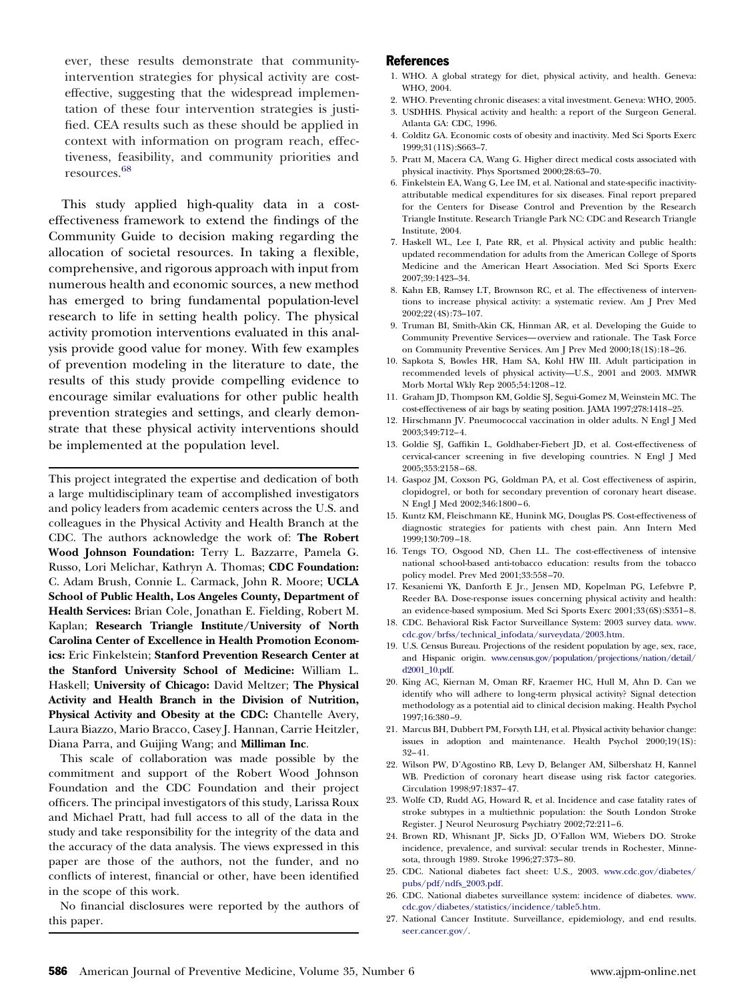<span id="page-8-0"></span>ever, these results demonstrate that communityintervention strategies for physical activity are costeffective, suggesting that the widespread implementation of these four intervention strategies is justified. CEA results such as these should be applied in context with information on program reach, effectiveness, feasibility, and community priorities and resources.[68](#page-9-0)

This study applied high-quality data in a costeffectiveness framework to extend the findings of the Community Guide to decision making regarding the allocation of societal resources. In taking a flexible, comprehensive, and rigorous approach with input from numerous health and economic sources, a new method has emerged to bring fundamental population-level research to life in setting health policy. The physical activity promotion interventions evaluated in this analysis provide good value for money. With few examples of prevention modeling in the literature to date, the results of this study provide compelling evidence to encourage similar evaluations for other public health prevention strategies and settings, and clearly demonstrate that these physical activity interventions should be implemented at the population level.

This project integrated the expertise and dedication of both a large multidisciplinary team of accomplished investigators and policy leaders from academic centers across the U.S. and colleagues in the Physical Activity and Health Branch at the CDC. The authors acknowledge the work of: **The Robert Wood Johnson Foundation:** Terry L. Bazzarre, Pamela G. Russo, Lori Melichar, Kathryn A. Thomas; **CDC Foundation:** C. Adam Brush, Connie L. Carmack, John R. Moore; **UCLA School of Public Health, Los Angeles County, Department of Health Services:** Brian Cole, Jonathan E. Fielding, Robert M. Kaplan; **Research Triangle Institute/University of North Carolina Center of Excellence in Health Promotion Economics:** Eric Finkelstein; **Stanford Prevention Research Center at the Stanford University School of Medicine:** William L. Haskell; **University of Chicago:** David Meltzer; **The Physical Activity and Health Branch in the Division of Nutrition, Physical Activity and Obesity at the CDC:** Chantelle Avery, Laura Biazzo, Mario Bracco, Casey J. Hannan, Carrie Heitzler, Diana Parra, and Guijing Wang; and **Milliman Inc**.

This scale of collaboration was made possible by the commitment and support of the Robert Wood Johnson Foundation and the CDC Foundation and their project officers. The principal investigators of this study, Larissa Roux and Michael Pratt, had full access to all of the data in the study and take responsibility for the integrity of the data and the accuracy of the data analysis. The views expressed in this paper are those of the authors, not the funder, and no conflicts of interest, financial or other, have been identified in the scope of this work.

No financial disclosures were reported by the authors of this paper.

#### References

- 1. WHO. A global strategy for diet, physical activity, and health. Geneva: WHO, 2004.
- 2. WHO. Preventing chronic diseases: a vital investment. Geneva: WHO, 2005.
- 3. USDHHS. Physical activity and health: a report of the Surgeon General. Atlanta GA: CDC, 1996.
- 4. Colditz GA. Economic costs of obesity and inactivity. Med Sci Sports Exerc 1999;31(11S):S663–7.
- 5. Pratt M, Macera CA, Wang G. Higher direct medical costs associated with physical inactivity. Phys Sportsmed 2000;28:63–70.
- 6. Finkelstein EA, Wang G, Lee IM, et al. National and state-specific inactivityattributable medical expenditures for six diseases. Final report prepared for the Centers for Disease Control and Prevention by the Research Triangle Institute. Research Triangle Park NC: CDC and Research Triangle Institute, 2004.
- 7. Haskell WL, Lee I, Pate RR, et al. Physical activity and public health: updated recommendation for adults from the American College of Sports Medicine and the American Heart Association. Med Sci Sports Exerc 2007;39:1423–34.
- 8. Kahn EB, Ramsey LT, Brownson RC, et al. The effectiveness of interventions to increase physical activity: a systematic review. Am J Prev Med 2002;22(4S):73–107.
- 9. Truman BI, Smith-Akin CK, Hinman AR, et al. Developing the Guide to Community Preventive Services— overview and rationale. The Task Force on Community Preventive Services. Am J Prev Med 2000;18(1S):18 –26.
- 10. Sapkota S, Bowles HR, Ham SA, Kohl HW III. Adult participation in recommended levels of physical activity—U.S., 2001 and 2003. MMWR Morb Mortal Wkly Rep 2005;54:1208 –12.
- 11. Graham JD, Thompson KM, Goldie SJ, Segui-Gomez M, Weinstein MC. The cost-effectiveness of air bags by seating position. JAMA 1997;278:1418 –25.
- 12. Hirschmann JV. Pneumococcal vaccination in older adults. N Engl J Med 2003;349:712– 4.
- 13. Goldie SJ, Gaffikin L, Goldhaber-Fiebert JD, et al. Cost-effectiveness of cervical-cancer screening in five developing countries. N Engl J Med 2005;353:2158 – 68.
- 14. Gaspoz JM, Coxson PG, Goldman PA, et al. Cost effectiveness of aspirin, clopidogrel, or both for secondary prevention of coronary heart disease. N Engl J Med 2002;346:1800-6.
- 15. Kuntz KM, Fleischmann KE, Hunink MG, Douglas PS. Cost-effectiveness of diagnostic strategies for patients with chest pain. Ann Intern Med 1999;130:709 –18.
- 16. Tengs TO, Osgood ND, Chen LL. The cost-effectiveness of intensive national school-based anti-tobacco education: results from the tobacco policy model. Prev Med 2001;33:558 –70.
- 17. Kesaniemi YK, Danforth E Jr., Jensen MD, Kopelman PG, Lefebvre P, Reeder BA. Dose-response issues concerning physical activity and health: an evidence-based symposium. Med Sci Sports Exerc 2001;33(6S):S351-8.
- 18. CDC. Behavioral Risk Factor Surveillance System: 2003 survey data. [www.](http://www.cdc.gov/brfss/technical_infodata/surveydata/2003.htm) [cdc.gov/brfss/technical\\_infodata/surveydata/2003.htm.](http://www.cdc.gov/brfss/technical_infodata/surveydata/2003.htm)
- 19. U.S. Census Bureau. Projections of the resident population by age, sex, race, and Hispanic origin. [www.census.gov/population/projections/nation/detail/](http://www.census.gov/population/projections/nation/detail/d2001_10.pdf) [d2001\\_10.pdf.](http://www.census.gov/population/projections/nation/detail/d2001_10.pdf)
- 20. King AC, Kiernan M, Oman RF, Kraemer HC, Hull M, Ahn D. Can we identify who will adhere to long-term physical activity? Signal detection methodology as a potential aid to clinical decision making. Health Psychol 1997;16:380 –9.
- 21. Marcus BH, Dubbert PM, Forsyth LH, et al. Physical activity behavior change: issues in adoption and maintenance. Health Psychol 2000;19(1S):  $32 - 41$ .
- 22. Wilson PW, D'Agostino RB, Levy D, Belanger AM, Silbershatz H, Kannel WB. Prediction of coronary heart disease using risk factor categories. Circulation 1998;97:1837– 47.
- 23. Wolfe CD, Rudd AG, Howard R, et al. Incidence and case fatality rates of stroke subtypes in a multiethnic population: the South London Stroke Register. J Neurol Neurosurg Psychiatry 2002;72:211-6.
- 24. Brown RD, Whisnant JP, Sicks JD, O'Fallon WM, Wiebers DO. Stroke incidence, prevalence, and survival: secular trends in Rochester, Minnesota, through 1989. Stroke 1996;27:373– 80.
- 25. CDC. National diabetes fact sheet: U.S., 2003. [www.cdc.gov/diabetes/](http://www.cdc.gov/diabetes/pubs/pdf/ndfs_2003.pdf) [pubs/pdf/ndfs\\_2003.pdf.](http://www.cdc.gov/diabetes/pubs/pdf/ndfs_2003.pdf)
- 26. CDC. National diabetes surveillance system: incidence of diabetes. [www.](http://www.cdc.gov/diabetes/statistics/incidence/table5.htm) [cdc.gov/diabetes/statistics/incidence/table5.htm.](http://www.cdc.gov/diabetes/statistics/incidence/table5.htm)
- 27. National Cancer Institute. Surveillance, epidemiology, and end results. [seer.cancer.gov/.](http://seer.cancer.gov/)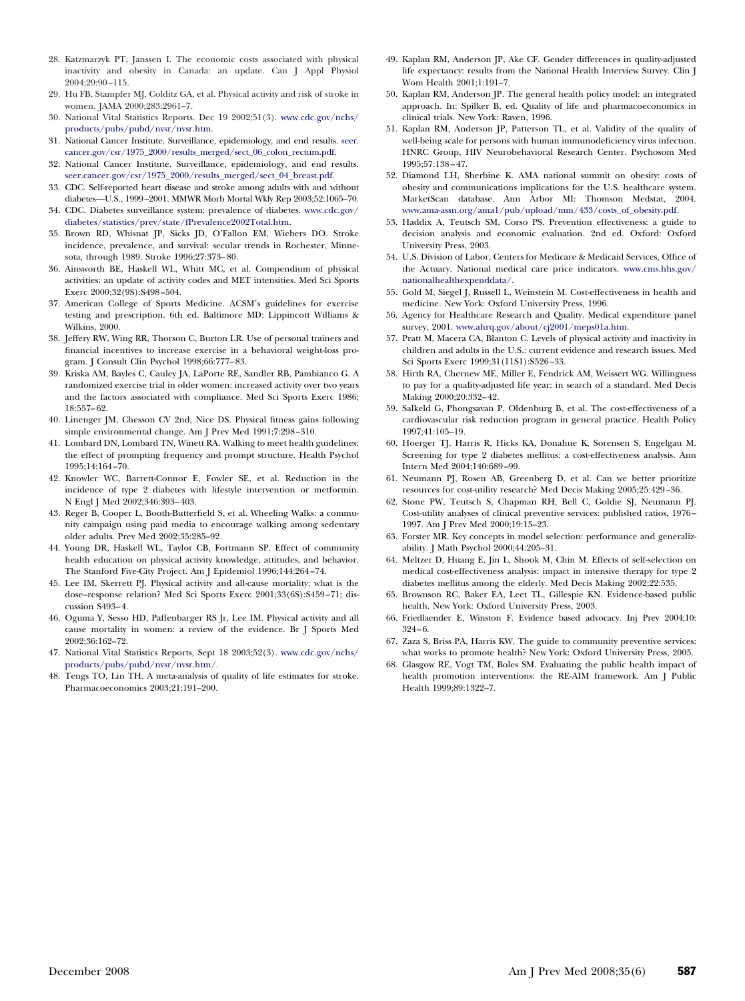- <span id="page-9-0"></span>28. Katzmarzyk PT, Janssen I. The economic costs associated with physical inactivity and obesity in Canada: an update. Can J Appl Physiol 2004;29:90 –115.
- 29. Hu FB, Stampfer MJ, Colditz GA, et al. Physical activity and risk of stroke in women. JAMA 2000;283:2961–7.
- 30. National Vital Statistics Reports. Dec 19 2002;51(3). [www.cdc.gov/nchs/](http://www.cdc.gov/nchs/products/pubs/pubd/nvsr/nvsr.htm) [products/pubs/pubd/nvsr/nvsr.htm.](http://www.cdc.gov/nchs/products/pubs/pubd/nvsr/nvsr.htm)
- 31. National Cancer Institute. Surveillance, epidemiology, and end results. [seer.](http://seer.cancer.gov/csr/1975_2000/results_merged/sect_06_colon_rectum.pdf) [cancer.gov/csr/1975\\_2000/results\\_merged/sect\\_06\\_colon\\_rectum.pdf.](http://seer.cancer.gov/csr/1975_2000/results_merged/sect_06_colon_rectum.pdf)
- 32. National Cancer Institute. Surveillance, epidemiology, and end results. [seer.cancer.gov/csr/1975\\_2000/results\\_merged/sect\\_04\\_breast.pdf.](http://seer.cancer.gov/csr/1975_2000/results_merged/sect_04_breast.pdf)
- 33. CDC. Self-reported heart disease and stroke among adults with and without diabetes—U.S., 1999 –2001. MMWR Morb Mortal Wkly Rep 2003;52:1065–70.
- 34. CDC. Diabetes surveillance system: prevalence of diabetes. [www.cdc.gov/](http://www.cdc.gov/diabetes/statistics/prev/state/fPrevalence2002Total.htm) [diabetes/statistics/prev/state/fPrevalence2002Total.htm.](http://www.cdc.gov/diabetes/statistics/prev/state/fPrevalence2002Total.htm)
- 35. Brown RD, Whisnat JP, Sicks JD, O'Fallon EM, Wiebers DO. Stroke incidence, prevalence, and survival: secular trends in Rochester, Minnesota, through 1989. Stroke 1996;27:373– 80.
- 36. Ainsworth BE, Haskell WL, Whitt MC, et al. Compendium of physical activities: an update of activity codes and MET intensities. Med Sci Sports Exerc 2000;32(9S):S498 –504.
- 37. American College of Sports Medicine. ACSM's guidelines for exercise testing and prescription. 6th ed. Baltimore MD: Lippincott Williams & Wilkins, 2000.
- 38. Jeffery RW, Wing RR, Thorson C, Burton LR. Use of personal trainers and financial incentives to increase exercise in a behavioral weight-loss program. J Consult Clin Psychol 1998;66:777– 83.
- 39. Kriska AM, Bayles C, Cauley JA, LaPorte RE, Sandler RB, Pambianco G. A randomized exercise trial in older women: increased activity over two years and the factors associated with compliance. Med Sci Sports Exerc 1986; 18:557– 62.
- 40. Linenger JM, Chesson CV 2nd, Nice DS. Physical fitness gains following simple environmental change. Am J Prev Med 1991;7:298 –310.
- 41. Lombard DN, Lombard TN, Winett RA. Walking to meet health guidelines: the effect of prompting frequency and prompt structure. Health Psychol 1995;14:164 –70.
- 42. Knowler WC, Barrett-Connor E, Fowler SE, et al. Reduction in the incidence of type 2 diabetes with lifestyle intervention or metformin. N Engl J Med 2002;346:393– 403.
- 43. Reger B, Cooper L, Booth-Butterfield S, et al. Wheeling Walks: a community campaign using paid media to encourage walking among sedentary older adults. Prev Med 2002;35:285–92.
- 44. Young DR, Haskell WL, Taylor CB, Fortmann SP. Effect of community health education on physical activity knowledge, attitudes, and behavior. The Stanford Five-City Project. Am J Epidemiol 1996;144:264 –74.
- 45. Lee IM, Skerrett PJ. Physical activity and all-cause mortality: what is the dose–response relation? Med Sci Sports Exerc 2001;33(6S):S459 –71; discussion S493– 4.
- 46. Oguma Y, Sesso HD, Paffenbarger RS Jr, Lee IM. Physical activity and all cause mortality in women: a review of the evidence. Br J Sports Med 2002;36:162–72.
- 47. National Vital Statistics Reports, Sept 18 2003;52(3). [www.cdc.gov/nchs/](http://www.cdc.gov/nchs/products/pubs/pubd/nvsr/nvsr.htm/) [products/pubs/pubd/nvsr/nvsr.htm/.](http://www.cdc.gov/nchs/products/pubs/pubd/nvsr/nvsr.htm/)
- 48. Tengs TO, Lin TH. A meta-analysis of quality of life estimates for stroke. Pharmacoeconomics 2003;21:191–200.
- 49. Kaplan RM, Anderson JP, Ake CF. Gender differences in quality-adjusted life expectancy: results from the National Health Interview Survey. Clin J Wom Health 2001;1:191–7.
- 50. Kaplan RM, Anderson JP. The general health policy model: an integrated approach. In: Spilker B, ed. Quality of life and pharmacoeconomics in clinical trials. New York: Raven, 1996.
- 51. Kaplan RM, Anderson JP, Patterson TL, et al. Validity of the quality of well-being scale for persons with human immunodeficiency virus infection. HNRC Group, HIV Neurobehavioral Research Center. Psychosom Med 1995;57:138 – 47.
- 52. Diamond LH, Sherbine K. AMA national summit on obesity: costs of obesity and communications implications for the U.S. healthcare system. MarketScan database. Ann Arbor MI: Thomson Medstat, 2004. [www.ama-assn.org/ama1/pub/upload/mm/433/costs\\_of\\_obesity.pdf.](http://www.ama-assn.org/ama1/pub/upload/mm/433/costs_of_obesity.pdf)
- 53. Haddix A, Teutsch SM, Corso PS. Prevention effectiveness: a guide to decision analysis and economic evaluation. 2nd ed. Oxford: Oxford University Press, 2003.
- 54. U.S. Division of Labor, Centers for Medicare & Medicaid Services, Office of the Actuary. National medical care price indicators. [www.cms.hhs.gov/](http://www.cms.hhs.gov/nationalhealthexpenddata/) [nationalhealthexpenddata/.](http://www.cms.hhs.gov/nationalhealthexpenddata/)
- 55. Gold M, Siegel J, Russell L, Weinstein M. Cost-effectiveness in health and medicine. New York: Oxford University Press, 1996.
- 56. Agency for Healthcare Research and Quality. Medical expenditure panel survey, 2001. [www.ahrq.gov/about/cj2001/meps01a.htm.](http://www.ahrq.gov/about/cj2001/meps01a.htm)
- 57. Pratt M, Macera CA, Blanton C. Levels of physical activity and inactivity in children and adults in the U.S.: current evidence and research issues. Med Sci Sports Exerc 1999;31(11S1):S526 –33.
- 58. Hirth RA, Chernew ME, Miller E, Fendrick AM, Weissert WG. Willingness to pay for a quality-adjusted life year: in search of a standard. Med Decis Making 2000;20:332– 42.
- 59. Salkeld G, Phongsavan P, Oldenburg B, et al. The cost-effectiveness of a cardiovascular risk reduction program in general practice. Health Policy 1997;41:105–19.
- 60. Hoerger TJ, Harris R, Hicks KA, Donahue K, Sorensen S, Engelgau M. Screening for type 2 diabetes mellitus: a cost-effectiveness analysis. Ann Intern Med 2004;140:689 –99.
- 61. Neumann PJ, Rosen AB, Greenberg D, et al. Can we better prioritize resources for cost-utility research? Med Decis Making 2005;25:429 –36.
- 62. Stone PW, Teutsch S, Chapman RH, Bell C, Goldie SJ, Neumann PJ. Cost-utility analyses of clinical preventive services: published ratios, 1976 – 1997. Am J Prev Med 2000;19:15–23.
- 63. Forster MR. Key concepts in model selection: performance and generalizability. J Math Psychol 2000;44:205–31.
- 64. Meltzer D, Huang E, Jin L, Shook M, Chin M. Effects of self-selection on medical cost-effectiveness analysis: impact in intensive therapy for type 2 diabetes mellitus among the elderly. Med Decis Making 2002;22:535.
- 65. Brownson RC, Baker EA, Leet TL, Gillespie KN. Evidence-based public health. New York: Oxford University Press, 2003.
- 66. Friedlaender E, Winston F. Evidence based advocacy. Inj Prev 2004;10:  $324 - 6.$
- 67. Zaza S, Briss PA, Harris KW. The guide to community preventive services: what works to promote health? New York: Oxford University Press, 2005.
- 68. Glasgow RE, Vogt TM, Boles SM. Evaluating the public health impact of health promotion interventions: the RE-AIM framework. Am J Public Health 1999;89:1322–7.